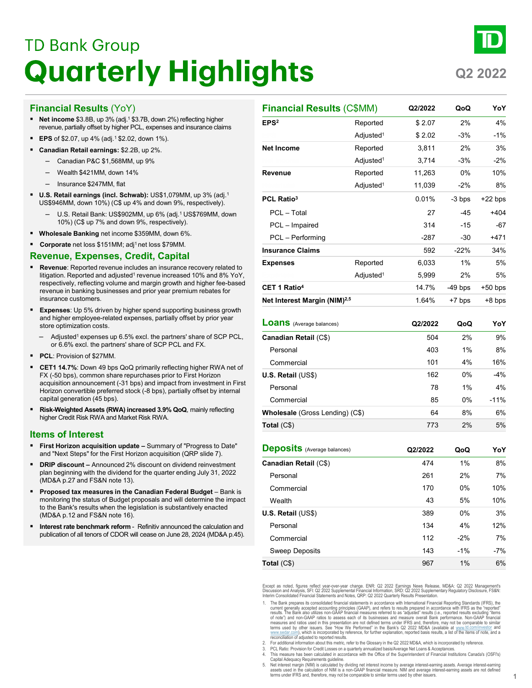# **TD Bank Group Quarterly Highlights**

## **Q2 2022**

### **Financial Results** (YoY)

- **Net income** \$3.8B, up 3% (adj.<sup>1</sup> \$3.7B, down 2%) reflecting higher revenue, partially offset by higher PCL, expenses and insurance claims
- **EPS** of \$2.07, up 4% (adj.<sup>1</sup> \$2.02, down 1%).
- **Canadian Retail earnings:** \$2.2B, up 2%.
	- Canadian P&C \$1,568MM, up 9%
	- Wealth \$421MM, down 14%
	- Insurance \$247MM, flat
- **U.S. Retail earnings (incl. Schwab):** US\$1,079MM, up 3% (adj.<sup>1</sup> US\$946MM, down 10%) (C\$ up 4% and down 9%, respectively).
	- U.S. Retail Bank: US\$902MM, up 6% (adj.<sup>1</sup> US\$769MM, down 10%) (C\$ up 7% and down 9%, respectively).
- **Wholesale Banking** net income \$359MM, down 6%.
- **Corporate** net loss \$151MM; adj<sup>1</sup> net loss \$79MM.

### **Revenue, Expenses, Credit, Capital**

- **Revenue**: Reported revenue includes an insurance recovery related to litigation. Reported and adjusted $^{\rm 1}$  revenue increased 10% and 8% YoY, respectively, reflecting volume and margin growth and higher fee-based revenue in banking businesses and prior year premium rebates for insurance customers.
- **Expenses**: Up 5% driven by higher spend supporting business growth and higher employee-related expenses, partially offset by prior year store optimization costs.
	- Adjusted<sup>1</sup> expenses up 6.5% excl. the partners' share of SCP PCL, or 6.6% excl. the partners' share of SCP PCL and FX.
- **PCL**: Provision of \$27MM.
- **CET1 14.7%**: Down 49 bps QoQ primarily reflecting higher RWA net of FX (-50 bps), common share repurchases prior to First Horizon acquisition announcement (-31 bps) and impact from investment in First Horizon convertible preferred stock (-8 bps), partially offset by internal capital generation (45 bps).
- **Risk-Weighted Assets (RWA) increased 3.9% QoQ**, mainly reflecting higher Credit Risk RWA and Market Risk RWA.

### **Items of Interest**

- **First Horizon acquisition update –** Summary of "Progress to Date" and "Next Steps" for the First Horizon acquisition (QRP slide 7).
- **DRIP discount –** Announced 2% discount on dividend reinvestment plan beginning with the dividend for the quarter ending July 31, 2022 (MD&A p.27 and FS&N note 13).
- **Proposed tax measures in the Canadian Federal Budget** Bank is monitoring the status of Budget proposals and will determine the impact to the Bank's results when the legislation is substantively enacted (MD&A p.12 and FS&N note 16).
- **Interest rate benchmark reform**  Refinitiv announced the calculation and publication of all tenors of CDOR will cease on June 28, 2024 (MD&A p.45).

| <b>Financial Results (C\$MM)</b>         |                       | Q2/2022 | QoQ       | YoY       |
|------------------------------------------|-----------------------|---------|-----------|-----------|
| EPS <sup>2</sup>                         | Reported              | \$2.07  | 2%        | 4%        |
|                                          | Adjusted <sup>1</sup> | \$2.02  | $-3%$     | $-1%$     |
| <b>Net Income</b>                        | Reported              | 3,811   | 2%        | 3%        |
|                                          | Adjusted <sup>1</sup> | 3,714   | $-3%$     | -2%       |
| <b>Revenue</b>                           | Reported              | 11,263  | $0\%$     | 10%       |
|                                          | Adjusted <sup>1</sup> | 11,039  | $-2%$     | 8%        |
| PCL Ratio <sup>3</sup>                   |                       | 0.01%   | -3 bps    | $+22$ bps |
| PCL - Total                              |                       | 27      | $-45$     | $+404$    |
| PCL - Impaired                           |                       | 314     | $-15$     | $-67$     |
| PCL - Performing                         |                       | $-287$  | $-30$     | $+471$    |
| <b>Insurance Claims</b>                  |                       | 592     | $-22%$    | 34%       |
| <b>Expenses</b>                          | Reported              | 6,033   | 1%        | 5%        |
|                                          | Adjusted <sup>1</sup> | 5,999   | 2%        | 5%        |
| CET 1 Ratio <sup>4</sup>                 |                       | 14.7%   | $-49$ bps | $+50$ bps |
| Net Interest Margin (NIM) <sup>2,5</sup> |                       | 1.64%   | +7 bps    | +8 bps    |
| <b>Loans</b> (Average balances)          |                       | Q2/2022 | QoQ       | YoY       |
| Canadian Retail (C\$)                    |                       | 504     | 2%        | 9%        |
| Personal                                 |                       | 403     | 1%        | 8%        |
| Commercial                               |                       | 101     | 4%        | 16%       |
| U.S. Retail (US\$)                       |                       | 162     | 0%        | $-4%$     |
| Personal                                 |                       | 78      | 1%        | 4%        |
| Commercial                               |                       | 85      | 0%        | $-11%$    |
| Wholesale (Gross Lending) (C\$)          |                       | 64      | 8%        | 6%        |
| Total $(C$)$                             |                       | 773     | 2%        | 5%        |
| <b>Deposits</b> (Average balances)       |                       | Q2/2022 | QoQ       | YoY       |
| Canadian Retail (C\$)                    |                       | 474     | 1%        | 8%        |
| Personal                                 |                       | 261     | 2%        | 7%        |
| Commercial                               |                       |         | 0%        | 10%       |
|                                          |                       | 170     |           |           |
| Wealth                                   |                       | 43      | 5%        | 10%       |

Except as noted, figures reflect year-over-year change. ENR: Q2 2022 Earnings News Release, MD&A: Q2 2022 Management's<br>Discussion and Analysis, SFI: Q2 2022 Supplemental Financial Information, SRD: Q2 2022 Supplementary Re

**Total** (C\$) 8% 6%

Personal **Commercial** Sweep Deposits

- 1. The Bank prepares its consolidated financial statements in accordance with International Financial Reporting Standards (IFRS), the total and the state of the state of the state of the state of the state of the state of of note") and non-GAAP ratios to assess each of its businesses and measure overall Bank performance. Non-GAAP financial<br>measures and ratios used in this presentation are not defined terms under IFRS and, therefore, may not terms used by other issuers. See "How We Performed" in the Bank's Q2 2022 MD&A (available at w<u>ww.td.com/investor</u> and<br><u>[www.sedar.com\)](http://www.sedar.com/)</u>, which is incorporated by reference, for further explanation, reported basis results,
- 2. For additional information about this metric, refer to the Glossary in the Q2 2022 MD&A, which is incorporated by reference.<br>2. PCL Ratio: Provision for Credit Losses on a quarterly annualized basis/Averane Net Loans &
- 3. PCL Ratio: Provision for Credit Losses on a quarterly annualized basis/Average Net Loans & Acceptances. 4. This measure has been calculated in accordance with the Office of the Superintendent of Financial Institutions Canada's (OSFI's)
- 

Capital Adequacy Requirements guideline.<br>5. Net interest margin (NIM) is calculated by dividing net interest income by average interest-earning assets. Average interest-earning<br>5. Net interest margin (NIM) is calculation o terms under IFRS and, therefore, may not be comparable to similar terms used by other issuers.

134 4% 12% 112 -2% 7% 143 -1% -7%